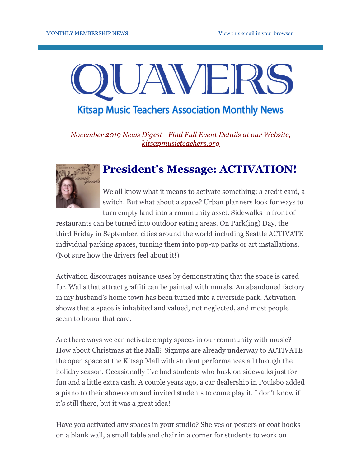# JAVEI **Kitsap Music Teachers Association Monthly News**

*November 2019 News Digest - Find Full Event Details at our Website, [kitsapmusicteachers.org](http://www.kitsapmusicteachers.org/)*

## **President's Message: ACTIVATION!**



We all know what it means to activate something: a credit card, a switch. But what about a space? Urban planners look for ways to turn empty land into a community asset. Sidewalks in front of

restaurants can be turned into outdoor eating areas. On Park(ing) Day, the third Friday in September, cities around the world including Seattle ACTIVATE individual parking spaces, turning them into pop-up parks or art installations. (Not sure how the drivers feel about it!)

Activation discourages nuisance uses by demonstrating that the space is cared for. Walls that attract graffiti can be painted with murals. An abandoned factory in my husband's home town has been turned into a riverside park. Activation shows that a space is inhabited and valued, not neglected, and most people seem to honor that care.

Are there ways we can activate empty spaces in our community with music? How about Christmas at the Mall? Signups are already underway to ACTIVATE the open space at the Kitsap Mall with student performances all through the holiday season. Occasionally I've had students who busk on sidewalks just for fun and a little extra cash. A couple years ago, a car dealership in Poulsbo added a piano to their showroom and invited students to come play it. I don't know if it's still there, but it was a great idea!

Have you activated any spaces in your studio? Shelves or posters or coat hooks on a blank wall, a small table and chair in a corner for students to work on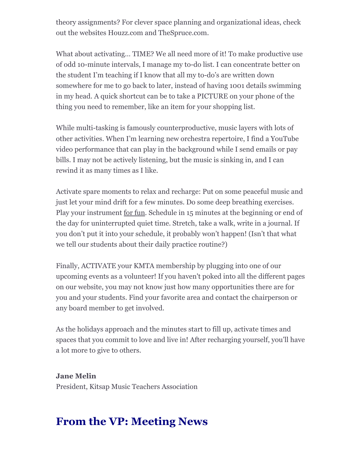theory assignments? For clever space planning and organizational ideas, check out the websites Houzz.com and TheSpruce.com.

What about activating… TIME? We all need more of it! To make productive use of odd 10-minute intervals, I manage my to-do list. I can concentrate better on the student I'm teaching if I know that all my to-do's are written down somewhere for me to go back to later, instead of having 1001 details swimming in my head. A quick shortcut can be to take a PICTURE on your phone of the thing you need to remember, like an item for your shopping list.

While multi-tasking is famously counterproductive, music layers with lots of other activities. When I'm learning new orchestra repertoire, I find a YouTube video performance that can play in the background while I send emails or pay bills. I may not be actively listening, but the music is sinking in, and I can rewind it as many times as I like.

Activate spare moments to relax and recharge: Put on some peaceful music and just let your mind drift for a few minutes. Do some deep breathing exercises. Play your instrument for fun. Schedule in 15 minutes at the beginning or end of the day for uninterrupted quiet time. Stretch, take a walk, write in a journal. If you don't put it into your schedule, it probably won't happen! (Isn't that what we tell our students about their daily practice routine?)

Finally, ACTIVATE your KMTA membership by plugging into one of our upcoming events as a volunteer! If you haven't poked into all the different pages on our website, you may not know just how many opportunities there are for you and your students. Find your favorite area and contact the chairperson or any board member to get involved.

As the holidays approach and the minutes start to fill up, activate times and spaces that you commit to love and live in! After recharging yourself, you'll have a lot more to give to others.

**Jane Melin** President, Kitsap Music Teachers Association

# **From the VP: Meeting News**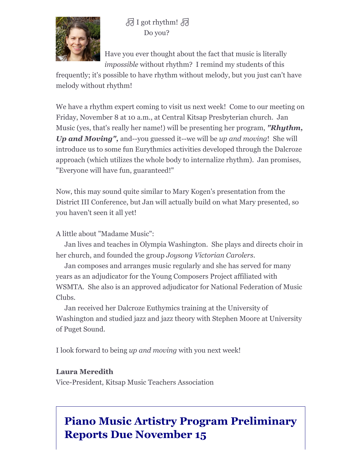

**同 I got rhythm!** 同 Do you?

Have you ever thought about the fact that music is literally *impossible* without rhythm? I remind my students of this

frequently; it's possible to have rhythm without melody, but you just can't have melody without rhythm!

We have a rhythm expert coming to visit us next week! Come to our meeting on Friday, November 8 at 10 a.m., at Central Kitsap Presbyterian church. Jan Music (yes, that's really her name!) will be presenting her program, *"Rhythm, Up and Moving",* and--you guessed it--we will be *up and moving*! She will introduce us to some fun Eurythmics activities developed through the Dalcroze approach (which utilizes the whole body to internalize rhythm). Jan promises, "Everyone will have fun, guaranteed!"

Now, this may sound quite similar to Mary Kogen's presentation from the District III Conference, but Jan will actually build on what Mary presented, so you haven't seen it all yet!

A little about "Madame Music":

 Jan lives and teaches in Olympia Washington. She plays and directs choir in her church, and founded the group *Joysong Victorian Carolers*.

 Jan composes and arranges music regularly and she has served for many years as an adjudicator for the Young Composers Project affiliated with WSMTA. She also is an approved adjudicator for National Federation of Music Clubs.

 Jan received her Dalcroze Euthymics training at the University of Washington and studied jazz and jazz theory with Stephen Moore at University of Puget Sound.

I look forward to being *up and moving* with you next week!

#### **Laura Meredith**

Vice-President, Kitsap Music Teachers Association

# **Piano Music Artistry Program Preliminary Reports Due November 15**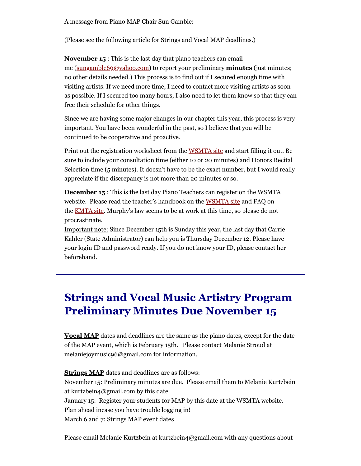A message from Piano MAP Chair Sun Gamble:

(Please see the following article for Strings and Vocal MAP deadlines.)

**November 15** : This is the last day that piano teachers can email me [\(sungamble69@yahoo.com](mailto:sungamble69@yahoo.com)) to report your preliminary **minutes** (just minutes; no other details needed.) This process is to find out if I secured enough time with visiting artists. If we need more time, I need to contact more visiting artists as soon as possible. If I secured too many hours, I also need to let them know so that they can free their schedule for other things.

Since we are having some major changes in our chapter this year, this process is very important. You have been wonderful in the past, so I believe that you will be continued to be cooperative and proactive.

Print out the registration worksheet from the [WSMTA site](https://kitsapmusicteachers.us14.list-manage.com/track/click?u=a9d885fc36d841987e3cbcd66&id=5352159454&e=8191de7102) and start filling it out. Be sure to include your consultation time (either 10 or 20 minutes) and Honors Recital Selection time (5 minutes). It doesn't have to be the exact number, but I would really appreciate if the discrepancy is not more than 20 minutes or so.

**December 15** : This is the last day Piano Teachers can register on the WSMTA website. Please read the teacher's handbook on the [WSMTA site](https://kitsapmusicteachers.us14.list-manage.com/track/click?u=a9d885fc36d841987e3cbcd66&id=2493092794&e=8191de7102) and FAQ on the **[KMTA site](https://kitsapmusicteachers.us14.list-manage.com/track/click?u=a9d885fc36d841987e3cbcd66&id=754b1a3e12&e=8191de7102)**. Murphy's law seems to be at work at this time, so please do not procrastinate.

Important note: Since December 15th is Sunday this year, the last day that Carrie Kahler (State Administrator) can help you is Thursday December 12. Please have your login ID and password ready. If you do not know your ID, please contact her beforehand.

# **Strings and Vocal Music Artistry Program Preliminary Minutes Due November 15**

**Vocal MAP** dates and deadlines are the same as the piano dates, except for the date of the MAP event, which is February 15th. Please contact Melanie Stroud at melaniejoymusic96@gmail.com for information.

**Strings MAP** dates and deadlines are as follows:

November 15: Preliminary minutes are due. Please email them to Melanie Kurtzbein at kurtzbein4@gmail.com by this date. January 15: Register your students for MAP by this date at the WSMTA website.

Plan ahead incase you have trouble logging in!

March 6 and 7: Strings MAP event dates

Please email Melanie Kurtzbein at kurtzbein4@gmail.com with any questions about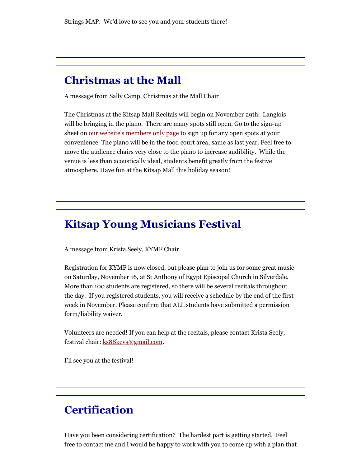## **Christmas at the Mall**

A message from Sally Camp, Christmas at the Mall Chair

The Christmas at the Kitsap Mall Recitals will begin on November 29th. Langlois will be bringing in the piano. There are many spots still open. Go to the sign-up sheet on [our website's members only page](http://www.kitsapmusicteachers.org/members-only/) to sign up for any open spots at your convenience. The piano will be in the food court area; same as last year. Feel free to move the audience chairs very close to the piano to increase audibility. While the venue is less than acoustically ideal, students benefit greatly from the festive atmosphere. Have fun at the Kitsap Mall this holiday season!

## **Kitsap Young Musicians Festival**

A message from Krista Seely, KYMF Chair

Registration for KYMF is now closed, but please plan to join us for some great music on Saturday, November 16, at St Anthony of Egypt Episcopal Church in Silverdale. More than 100 students are registered, so there will be several recitals throughout the day. If you registered students, you will receive a schedule by the end of the first week in November. Please confirm that ALL students have submitted a permission form/liability waiver.

Volunteers are needed! If you can help at the recitals, please contact Krista Seely, festival chair: [ks88keys@gmail.com.](mailto:ks88keys@gmail.com)

I'll see you at the festival!

## **Certification**

Have you been considering certification? The hardest part is getting started. Feel free to contact me and I would be happy to work with you to come up with a plan that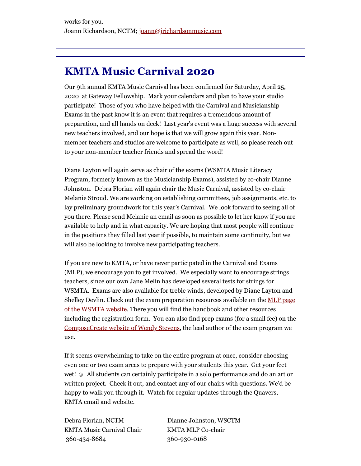# **KMTA Music Carnival 2020**

Our 9th annual KMTA Music Carnival has been confirmed for Saturday, April 25, 2020 at Gateway Fellowship. Mark your calendars and plan to have your studio participate! Those of you who have helped with the Carnival and Musicianship Exams in the past know it is an event that requires a tremendous amount of preparation, and all hands on deck! Last year's event was a huge success with several new teachers involved, and our hope is that we will grow again this year. Nonmember teachers and studios are welcome to participate as well, so please reach out to your non-member teacher friends and spread the word!

Diane Layton will again serve as chair of the exams (WSMTA Music Literacy Program, formerly known as the Musicianship Exams), assisted by co-chair Dianne Johnston. Debra Florian will again chair the Music Carnival, assisted by co-chair Melanie Stroud. We are working on establishing committees, job assignments, etc. to lay preliminary groundwork for this year's Carnival. We look forward to seeing all of you there. Please send Melanie an email as soon as possible to let her know if you are available to help and in what capacity. We are hoping that most people will continue in the positions they filled last year if possible, to maintain some continuity, but we will also be looking to involve new participating teachers.

If you are new to KMTA, or have never participated in the Carnival and Exams (MLP), we encourage you to get involved. We especially want to encourage strings teachers, since our own Jane Melin has developed several tests for strings for WSMTA. Exams are also available for treble winds, developed by Diane Layton and Shelley Devlin. Check out the exam preparation resources available on the **MLP** page of the WSMTA website. There you will find the handbook and other resources including the registration form. You can also find prep exams (for a small fee) on the [ComposeCreate website of Wendy Stevens,](http://www.composecreate.com/store/music-exam-prep-2/) the lead author of the exam program we use.

If it seems overwhelming to take on the entire program at once, consider choosing even one or two exam areas to prepare with your students this year. Get your feet wet! ☉ All students can certainly participate in a solo performance and do an art or written project. Check it out, and contact any of our chairs with questions. We'd be happy to walk you through it. Watch for regular updates through the Quavers, KMTA email and website.

Debra Florian, NCTM Dianne Johnston, WSCTM KMTA Music Carnival Chair KMTA MLP Co-chair 360-434-8684 360-930-0168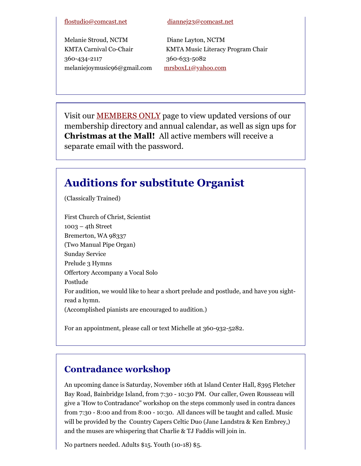#### [flostudio@comcast.net](mailto:flostudio@comcast.net) [diannej23@comcast.net](mailto:diannej23@comcast.net)

Melanie Stroud, NCTM Diane Layton, NCTM 360-434-2117 360-633-5082 melaniejoymusic96@gmail.com [mrsboxL1@yahoo.com](mailto:mrsboxL1@yahoo.com)

KMTA Carnival Co-Chair KMTA Music Literacy Program Chair

Visit our **MEMBERS ONLY** page to view updated versions of our membership directory and annual calendar, as well as sign ups for **Christmas at the Mall!** All active members will receive a separate email with the password.

## **Auditions for substitute Organist**

(Classically Trained)

First Church of Christ, Scientist 1003 – 4th Street Bremerton, WA 98337 (Two Manual Pipe Organ) Sunday Service Prelude 3 Hymns Offertory Accompany a Vocal Solo Postlude For audition, we would like to hear a short prelude and postlude, and have you sightread a hymn. (Accomplished pianists are encouraged to audition.)

For an appointment, please call or text Michelle at 360-932-5282.

### **Contradance workshop**

An upcoming dance is Saturday, November 16th at Island Center Hall, 8395 Fletcher Bay Road, Bainbridge Island, from 7:30 - 10:30 PM. Our caller, Gwen Rousseau will give a 'How to Contradance" workshop on the steps commonly used in contra dances from 7:30 - 8:00 and from 8:00 - 10:30. All dances will be taught and called. Music will be provided by the Country Capers Celtic Duo (Jane Landstra & Ken Embrey,) and the muses are whispering that Charlie & TJ Faddis will join in.

No partners needed. Adults \$15. Youth (10-18) \$5.